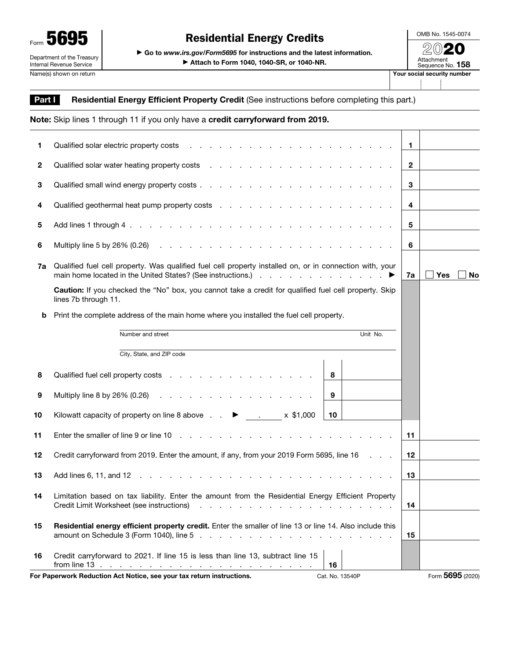

OMB No. 1545-0074

Form  $\overline{\bf 5695}$   $\overline{\bf 695}$   $\overline{\bf 60}$   $\overline{\bf 60}$  to *www.irs.gov/Form5695* for instructions and the latest information. ▶ Attach to Form 1040, 1040-SR, or 1040-NR.

| our social security number     |
|--------------------------------|
| Attachment<br>Sequence No. 158 |
| $\ll$ (V) $\ll$ (              |

## Part I Residential Energy Efficient Property Credit (See instructions before completing this part.)

|    | Note: Skip lines 1 through 11 if you only have a credit carryforward from 2019.                                                                                                                                                                           |              |                         |
|----|-----------------------------------------------------------------------------------------------------------------------------------------------------------------------------------------------------------------------------------------------------------|--------------|-------------------------|
| 1  |                                                                                                                                                                                                                                                           | $\mathbf 1$  |                         |
| 2  |                                                                                                                                                                                                                                                           | $\mathbf{2}$ |                         |
| 3  |                                                                                                                                                                                                                                                           | 3            |                         |
| 4  |                                                                                                                                                                                                                                                           | 4            |                         |
| 5  |                                                                                                                                                                                                                                                           | 5            |                         |
| 6  |                                                                                                                                                                                                                                                           | 6            |                         |
| 7a | Qualified fuel cell property. Was qualified fuel cell property installed on, or in connection with, your                                                                                                                                                  | 7a           | <b>Yes</b><br><b>No</b> |
|    | Caution: If you checked the "No" box, you cannot take a credit for qualified fuel cell property. Skip<br>lines 7b through 11.                                                                                                                             |              |                         |
| b  | Print the complete address of the main home where you installed the fuel cell property.                                                                                                                                                                   |              |                         |
|    | Unit No.<br>Number and street                                                                                                                                                                                                                             |              |                         |
|    | City, State, and ZIP code                                                                                                                                                                                                                                 |              |                         |
| 8  | Qualified fuel cell property costs<br>8                                                                                                                                                                                                                   |              |                         |
| 9  | Multiply line 8 by 26% $(0.26)$<br>$\boldsymbol{9}$                                                                                                                                                                                                       |              |                         |
| 10 | 10                                                                                                                                                                                                                                                        |              |                         |
| 11 |                                                                                                                                                                                                                                                           | 11           |                         |
| 12 | Credit carryforward from 2019. Enter the amount, if any, from your 2019 Form 5695, line 16                                                                                                                                                                | 12           |                         |
| 13 | Add lines 6, 11, and 12<br>and the company of the company of the company of the company of the company of the company of the company of the company of the company of the company of the company of the company of the company of the company of the comp | 13           |                         |
| 14 | Limitation based on tax liability. Enter the amount from the Residential Energy Efficient Property<br>Credit Limit Worksheet (see instructions)                                                                                                           | 14           |                         |
| 15 | Residential energy efficient property credit. Enter the smaller of line 13 or line 14. Also include this                                                                                                                                                  | 15           |                         |
| 16 | Credit carryforward to 2021. If line 15 is less than line 13, subtract line 15<br>16                                                                                                                                                                      |              |                         |

For Paperwork Reduction Act Notice, see your tax return instructions. Cat. No. 13540P Form 5695 (2020)